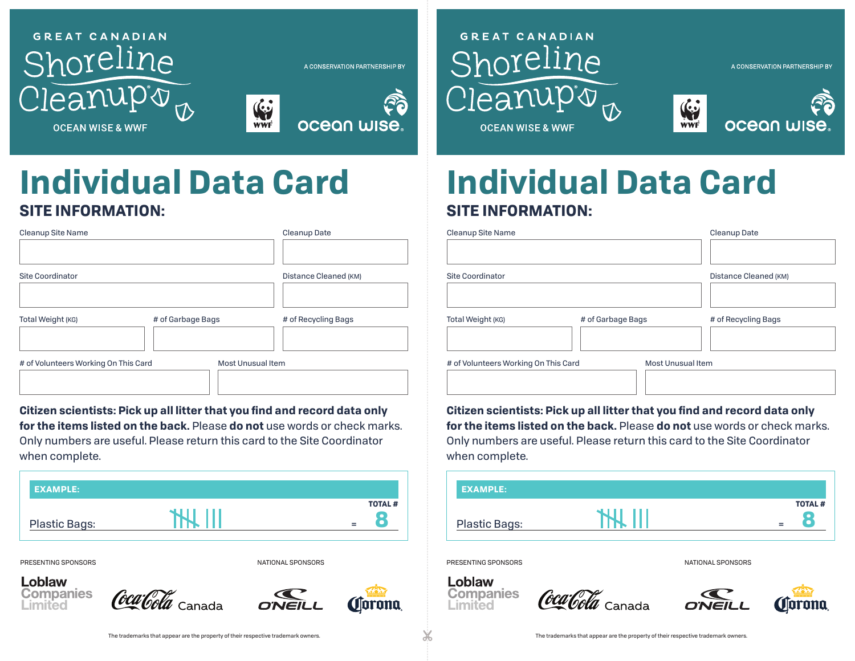

A CONSERVATION PARTNERSHIP BY



# **GREAT CANADIAN** Shoreline eanupo



A CONSERVATION PARTNERSHIP BY

**OCFAN WISF & WWF** 

# **SITE INFORMATION: SITE INFORMATION: Individual Data Card Individual Data Card**

| Cleanup Date          | Cleanup Site Name                    |                          | <b>Cleanup Date</b>   |
|-----------------------|--------------------------------------|--------------------------|-----------------------|
| Distance Cleaned (KM) | <b>Site Coordinator</b>              |                          | Distance Cleaned (KM) |
| # of Recycling Bags   | Total Weight (KG)                    | # of Garbage Bags        | # of Recycling Bags   |
|                       | # of Volunteers Working On This Card | <b>Most Unusual Item</b> |                       |

**Citizen scientists: Pick up all litter that you find and record data only for the items listed on the back.** Please **do not** use words or check marks. Only numbers are useful. Please return this card to the Site Coordinator when complete.

|                           | <b>EXAMPLE:</b>      |  |                      |
|---------------------------|----------------------|--|----------------------|
| <b>TOTAL#</b><br>$\equiv$ | <b>Plastic Bags:</b> |  | <b>TOTAL#</b><br>$=$ |
|                           |                      |  |                      |

**Companies** 

Loblaw

Limited



| Cleanup Site Name                    |                   | Cleanup Date          | Cleanup Site Name                    |                   | Cleanup Date             |  |
|--------------------------------------|-------------------|-----------------------|--------------------------------------|-------------------|--------------------------|--|
|                                      |                   |                       |                                      |                   |                          |  |
| <b>Site Coordinator</b>              |                   | Distance Cleaned (KM) | <b>Site Coordinator</b>              |                   |                          |  |
|                                      |                   |                       |                                      |                   |                          |  |
| Total Weight (KG)                    | # of Garbage Bags | # of Recycling Bags   | Total Weight (KG)                    | # of Garbage Bags | # of Recycling Bags      |  |
| # of Volunteers Working On This Card | Most Unusual Item |                       | # of Volunteers Working On This Card |                   | <b>Most Unusual Item</b> |  |
|                                      |                   |                       |                                      |                   |                          |  |

**Citizen scientists: Pick up all litter that you find and record data only for the items listed on the back.** Please **do not** use words or check marks. Only numbers are useful. Please return this card to the Site Coordinator when complete.



Coca Cola <sub>Canada</sub>